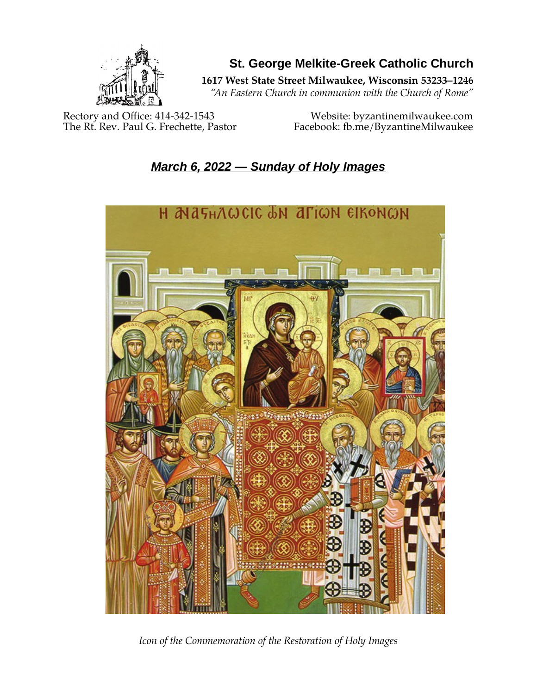

**St. George Melkite-Greek Catholic Church**

**1617 West State Street Milwaukee, Wisconsin 53233–1246**

*"An Eastern Church in communion with the Church of Rome"*

Rectory and Office: 414-342-1543<br>The Rt. Rev. Paul G. Frechette, Pastor Facebook: fb.me/ByzantineMilwaukee

Facebook: fb.me/ByzantineMilwaukee

# *March 6, 2022 — Sunday of Holy Images*



*Icon of the Commemoration of the Restoration of Holy Images*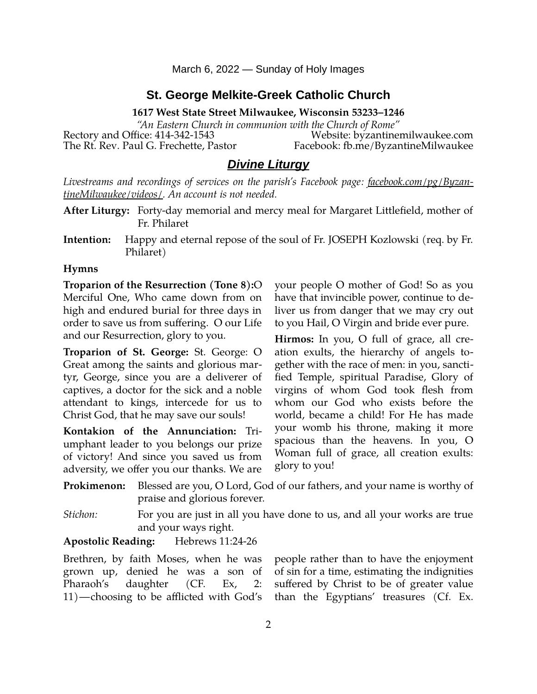March 6, 2022 — Sunday of Holy Images

# **St. George Melkite-Greek Catholic Church**

**1617 West State Street Milwaukee, Wisconsin 53233–1246**

*"An Eastern Church in communion with the Church of Rome"* Rectory and Office: 414-342-1543 Website: [byzantinemilwaukee.com](https://byzantinemilwaukee.com/) The Rt. Rev. Paul G. Frechette, Pastor Facebook: fb.me/ByzantineMilwaukee

# *Divine Liturgy*

*Livestreams and recordings of services on the parish's Facebook page: [facebook.com/pg/Byzan](https://www.facebook.com/pg/ByzantineMilwaukee/videos/)[tineMilwaukee/videos/.](https://www.facebook.com/pg/ByzantineMilwaukee/videos/) An account is not needed.*

- **After Liturgy:** Forty-day memorial and mercy meal for Margaret Littlefield, mother of Fr. Philaret
- **Intention:** Happy and eternal repose of the soul of Fr. JOSEPH Kozlowski (req. by Fr. Philaret)

#### **Hymns**

**Troparion of the Resurrection (Tone 8):**O Merciful One, Who came down from on high and endured burial for three days in order to save us from suffering. O our Life and our Resurrection, glory to you.

**Troparion of St. George:** St. George: O Great among the saints and glorious martyr, George, since you are a deliverer of captives, a doctor for the sick and a noble attendant to kings, intercede for us to Christ God, that he may save our souls!

**Kontakion of the Annunciation:** Triumphant leader to you belongs our prize of victory! And since you saved us from adversity, we offer you our thanks. We are

your people O mother of God! So as you have that invincible power, continue to deliver us from danger that we may cry out to you Hail, O Virgin and bride ever pure.

**Hirmos:** In you, O full of grace, all creation exults, the hierarchy of angels together with the race of men: in you, sanctified Temple, spiritual Paradise, Glory of virgins of whom God took flesh from whom our God who exists before the world, became a child! For He has made your womb his throne, making it more spacious than the heavens. In you, O Woman full of grace, all creation exults: glory to you!

**Prokimenon:** Blessed are you, O Lord, God of our fathers, and your name is worthy of praise and glorious forever.

*Stichon:* For you are just in all you have done to us, and all your works are true and your ways right.

**Apostolic Reading:** Hebrews 11:24-26

Brethren, by faith Moses, when he was grown up, denied he was a son of Pharaoh's daughter (CF. Ex, 2: 11)―choosing to be afflicted with God's people rather than to have the enjoyment of sin for a time, estimating the indignities suffered by Christ to be of greater value than the Egyptians' treasures (Cf. Ex.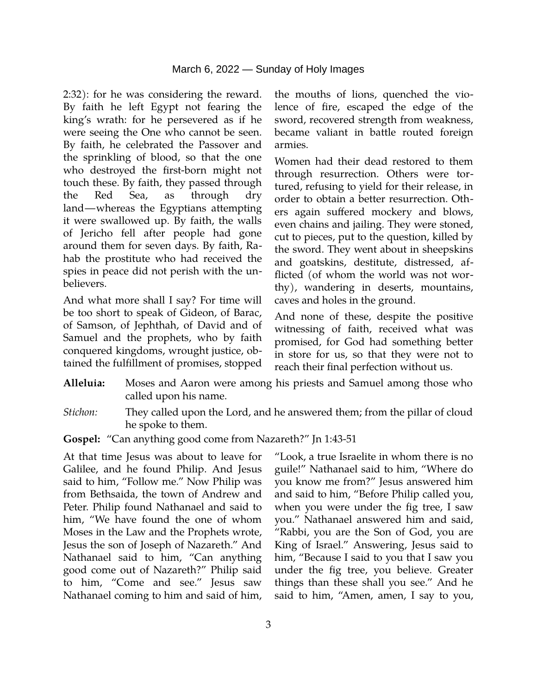2:32): for he was considering the reward. By faith he left Egypt not fearing the king's wrath: for he persevered as if he were seeing the One who cannot be seen. By faith, he celebrated the Passover and the sprinkling of blood, so that the one who destroyed the first-born might not touch these. By faith, they passed through the Red Sea, as through dry land―whereas the Egyptians attempting it were swallowed up. By faith, the walls of Jericho fell after people had gone around them for seven days. By faith, Rahab the prostitute who had received the spies in peace did not perish with the unbelievers.

And what more shall I say? For time will be too short to speak of Gideon, of Barac, of Samson, of Jephthah, of David and of Samuel and the prophets, who by faith conquered kingdoms, wrought justice, obtained the fulfillment of promises, stopped

the mouths of lions, quenched the violence of fire, escaped the edge of the sword, recovered strength from weakness, became valiant in battle routed foreign armies.

Women had their dead restored to them through resurrection. Others were tortured, refusing to yield for their release, in order to obtain a better resurrection. Others again suffered mockery and blows, even chains and jailing. They were stoned, cut to pieces, put to the question, killed by the sword. They went about in sheepskins and goatskins, destitute, distressed, afflicted (of whom the world was not worthy), wandering in deserts, mountains, caves and holes in the ground.

And none of these, despite the positive witnessing of faith, received what was promised, for God had something better in store for us, so that they were not to reach their final perfection without us.

- **Alleluia:** Moses and Aaron were among his priests and Samuel among those who called upon his name.
- *Stichon:* They called upon the Lord, and he answered them; from the pillar of cloud he spoke to them.
- **Gospel:** "Can anything good come from Nazareth?" Jn 1:43-51

At that time Jesus was about to leave for Galilee, and he found Philip. And Jesus said to him, "Follow me." Now Philip was from Bethsaida, the town of Andrew and Peter. Philip found Nathanael and said to him, "We have found the one of whom Moses in the Law and the Prophets wrote, Jesus the son of Joseph of Nazareth." And Nathanael said to him, "Can anything good come out of Nazareth?" Philip said to him, "Come and see." Jesus saw Nathanael coming to him and said of him,

"Look, a true Israelite in whom there is no guile!" Nathanael said to him, "Where do you know me from?" Jesus answered him and said to him, "Before Philip called you, when you were under the fig tree, I saw you." Nathanael answered him and said, "Rabbi, you are the Son of God, you are King of Israel." Answering, Jesus said to him, "Because I said to you that I saw you under the fig tree, you believe. Greater things than these shall you see." And he said to him, "Amen, amen, I say to you,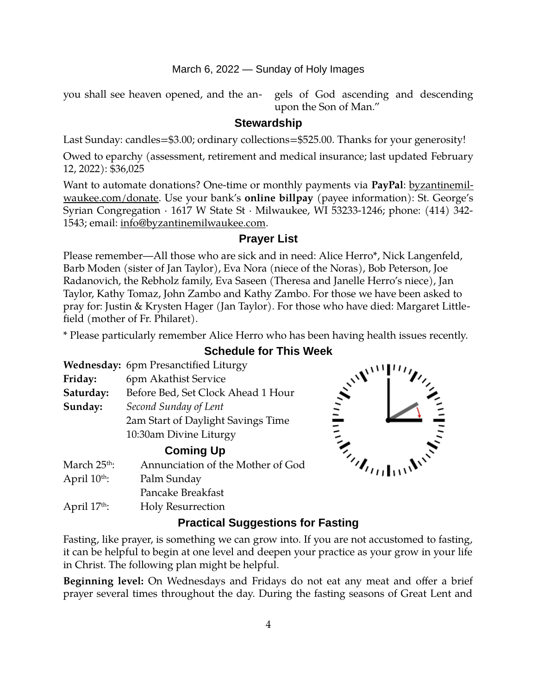#### March 6, 2022 — Sunday of Holy Images

you shall see heaven opened, and the an- gels of God ascending and descending

upon the Son of Man."

#### **Stewardship**

Last Sunday: candles=\$3.00; ordinary collections=\$525.00. Thanks for your generosity!

Owed to eparchy (assessment, retirement and medical insurance; last updated February 12, 2022): \$36,025

Want to automate donations? One-time or monthly payments via **PayPal**: [byzantinemil](https://byzantinemilwaukee.com/donate/)[waukee.com/donate.](https://byzantinemilwaukee.com/donate/) Use your bank's **online billpay** (payee information): St. George's Syrian Congregation · 1617 W State St · Milwaukee, WI 53233-1246; phone: (414) 342- 1543; email: [info@byzantinemilwaukee.com](mailto:info@byzantinemilwaukee.com).

#### **Prayer List**

Please remember—All those who are sick and in need: Alice Herro\*, Nick Langenfeld, Barb Moden (sister of Jan Taylor), Eva Nora (niece of the Noras), Bob Peterson, Joe Radanovich, the Rebholz family, Eva Saseen (Theresa and Janelle Herro's niece), Jan Taylor, Kathy Tomaz, John Zambo and Kathy Zambo. For those we have been asked to pray for: Justin & Krysten Hager (Jan Taylor). For those who have died: Margaret Littlefield (mother of Fr. Philaret).

\* Please particularly remember Alice Herro who has been having health issues recently.

|                          | <b>Wednesday:</b> 6pm Presanctified Liturgy |
|--------------------------|---------------------------------------------|
| Friday:                  | 6pm Akathist Service                        |
| Saturday:                | Before Bed, Set Clock Ahead 1 Hour          |
| Sunday:                  | Second Sunday of Lent                       |
|                          | 2am Start of Daylight Savings Time          |
|                          | 10:30am Divine Liturgy                      |
|                          | <b>Coming Up</b>                            |
| March 25 <sup>th</sup> : | Annunciation of the Mother of God           |

Pancake Breakfast

# **Schedule for This Week**



April 17<sup>th</sup>: Holy Resurrection

April 10<sup>th</sup>: Palm Sunday

# **Practical Suggestions for Fasting**

Fasting, like prayer, is something we can grow into. If you are not accustomed to fasting, it can be helpful to begin at one level and deepen your practice as your grow in your life in Christ. The following plan might be helpful.

**Beginning level:** On Wednesdays and Fridays do not eat any meat and offer a brief prayer several times throughout the day. During the fasting seasons of Great Lent and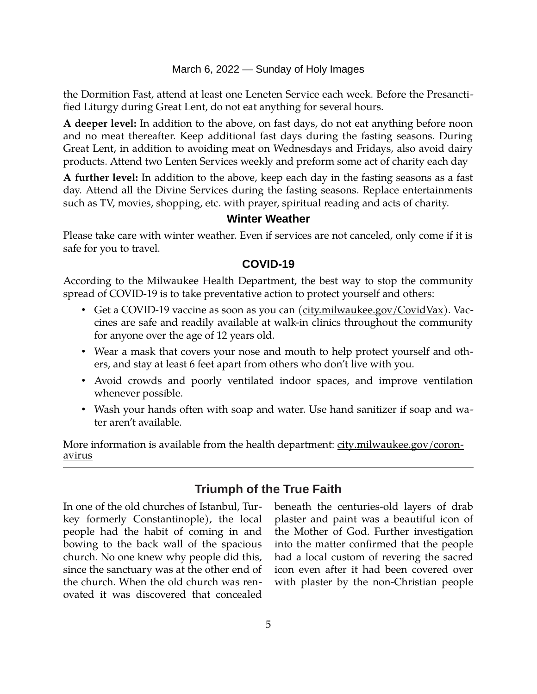March 6, 2022 — Sunday of Holy Images

the Dormition Fast, attend at least one Leneten Service each week. Before the Presanctified Liturgy during Great Lent, do not eat anything for several hours.

**A deeper level:** In addition to the above, on fast days, do not eat anything before noon and no meat thereafter. Keep additional fast days during the fasting seasons. During Great Lent, in addition to avoiding meat on Wednesdays and Fridays, also avoid dairy products. Attend two Lenten Services weekly and preform some act of charity each day

**A further level:** In addition to the above, keep each day in the fasting seasons as a fast day. Attend all the Divine Services during the fasting seasons. Replace entertainments such as TV, movies, shopping, etc. with prayer, spiritual reading and acts of charity.

# **Winter Weather**

Please take care with winter weather. Even if services are not canceled, only come if it is safe for you to travel.

#### **[COVID-19](mailto:j1ordan2000@yahoo.com)**

According to the Milwaukee Health Department, the best way to stop the community spread of COVID-19 is to take preventative action to protect yourself and others:

- Get a COVID-19 vaccine as soon as you can [\(city.milwaukee.gov/CovidVax\)](https://city.milwaukee.gov/CovidVax). Vaccines are safe and readily available at walk-in clinics throughout the community for anyone over the age of 12 years old.
- Wear a mask that covers your nose and mouth to help protect yourself and others, and stay at least 6 feet apart from others who don't live with you.
- Avoid crowds and poorly ventilated indoor spaces, and improve ventilation whenever possible.
- Wash your hands often with soap and water. Use hand sanitizer if soap and water aren't available.

More information is available from the health department: [city.milwaukee.gov/coron](https://city.milwaukee.gov/coronavirus)[avirus](https://city.milwaukee.gov/coronavirus)

# **Triumph of the True Faith**

In one of the old churches of Istanbul, Turkey formerly Constantinople), the local people had the habit of coming in and bowing to the back wall of the spacious church. No one knew why people did this, since the sanctuary was at the other end of the church. When the old church was renovated it was discovered that concealed beneath the centuries-old layers of drab plaster and paint was a beautiful icon of the Mother of God. Further investigation into the matter confirmed that the people had a local custom of revering the sacred icon even after it had been covered over with plaster by the non-Christian people